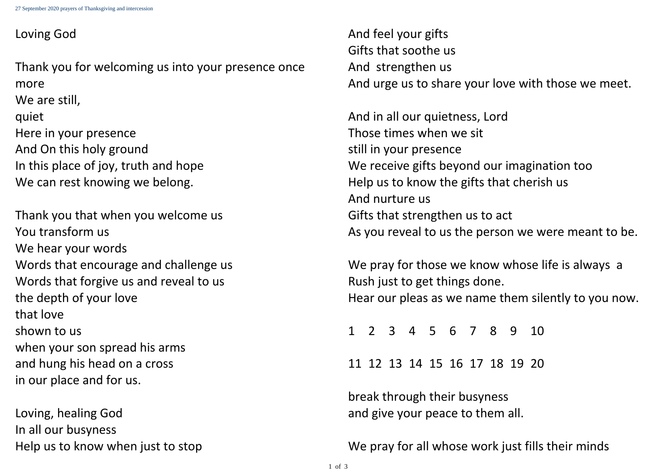Thank you for welcoming us into your presence once more We are still, quiet Here in your presence And On this holy ground In this place of joy, truth and hope We can rest knowing we belong.

- 
- 
- 
- 
- 
- 19 20

- 
- 

## Loving God

Thank you that when you welcome us You transform us We hear your words Words that encourage and challenge us Words that forgive us and reveal to us the depth of your love that love shown to us when your son spread his arms and hung his head on a cross in our place and for us.

We pray for those we know whose life is always a Rush just to get things done. Hear our pleas as we name them silently to you now.

Loving, healing God In all our busyness Help us to know when just to stop

And feel your gifts Gifts that soothe us And strengthen us And urge us to share your love with those we meet.

And in all our quietness, Lord Those times when we sit still in your presence We receive gifts beyond our imagination too Help us to know the gifts that cherish us And nurture us Gifts that strengthen us to act As you reveal to us the person we were meant to be.

|  | 1 2 3 4 5 6 7 8 9 10          |  |  |  |
|--|-------------------------------|--|--|--|
|  | 11 12 13 14 15 16 17 18 19 20 |  |  |  |

break through their busyness and give your peace to them all.

We pray for all whose work just fills their minds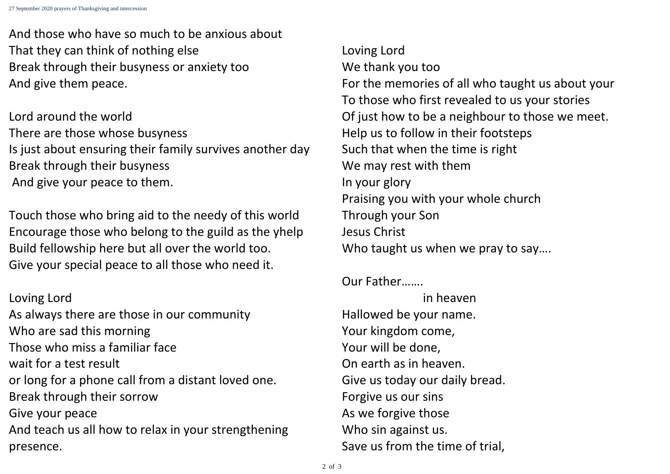And those who have so much to be anxious about That they can think of nothing else Break through their busyness or anxiety too And give them peace.

Lord around the world There are those whose busyness Is just about ensuring their family survives another day Break through their busyness And give your peace to them.

Loving Lord We thank you too For the memories of all who taught us about your To those who first revealed to us your stories Of just how to be a neighbour to those we meet. Help us to follow in their footsteps Such that when the time is right We may rest with them In your glory Praising you with your whole church Through your Son Jesus Christ Who taught us when we pray to say....

Touch those who bring aid to the needy of this world Encourage those who belong to the guild as the yhelp Build fellowship here but all over the world too. Give your special peace to all those who need it.

Loving Lord As always there are those in our community Who are sad this morning Those who miss a familiar face wait for a test result or long for a phone call from a distant loved one. Break through their sorrow Give your peace And teach us all how to relax in your strengthening presence.

Our Father…….

in heaven Hallowed be your name. Your kingdom come, Your will be done, On earth as in heaven. Give us today our daily bread. Forgive us our sins As we forgive those Who sin against us. Save us from the time of trial,